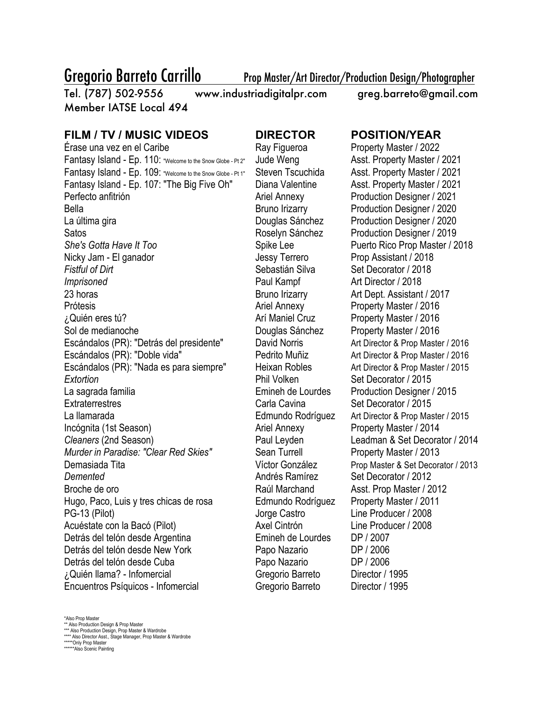Gregorio Barreto Carrillo Prop Master/Art Director/Production Design/Photographer

Tel. (787) 502-9556 www.industriadigitalpr.com greg.barreto@gmail.com Member IATSE Local 494

## **FILM / TV / MUSIC VIDEOS DIRECTOR POSITION/YEAR**

Érase una vez en el Caribe Ray Figueroa Property Master / 2022 Fantasy Island - Ep. 110: "Welcome to the Snow Globe - Pt 2" Jude Weng Asst. Property Master / 2021 Fantasy Island - Ep. 109: "Welcome to the Snow Globe - Pt 1" Steven Tscuchida Asst. Property Master / 2021 Fantasy Island - Ep. 107: "The Big Five Oh" Diana Valentine Asst. Property Master / 2021 Perfecto anfitrión **Ariel Annexy** Production Designer / 2021 Bella Bruno Irizarry Production Designer / 2020 La última gira Douglas Sánchez Production Designer / 2020 Satos Roselyn Sánchez Production Designer / 2019 **She's Gotta Have It Too** Spike Lee Puerto Rico Prop Master / 2018 Nicky Jam - El ganador **Jessy Terrero** Prop Assistant / 2018 *Fistful of Dirt* Sebastián Silva Set Decorator / 2018 *Imprisoned* Paul Kampf **Paul Kampf** Art Director / 2018 23 horas **Bruno Irizarry** Art Dept. Assistant / 2017 Prótesis **Ariel Annexy** Property Master / 2016 ¿Quién eres tú? Arí Maniel Cruz Property Master / 2016 Sol de medianoche Douglas Sánchez Property Master / 2016 Escándalos (PR): "Detrás del presidente" David Norris Art Director & Prop Master / 2016 Escándalos (PR): "Doble vida" Pedrito Muñiz Art Director & Prop Master / 2016 Escándalos (PR): "Nada es para siempre" Heixan Robles Art Director & Prop Master / 2015 **Extortion Extortion Extortion Extortion Set Decorator / 2015** La sagrada familia Emineh de Lourdes Production Designer / 2015 Extraterrestres **Carla Cavina** Carla Cavina Set Decorator / 2015 La llamarada Edmundo Rodríguez Art Director & Prop Master / 2015 Incógnita (1st Season) and Ariel Annexy Property Master / 2014 *Cleaners* (2nd Season) Paul Leyden Leadman & Set Decorator / 2014 *Murder in Paradise: "Clear Red Skies"* Sean Turrell Property Master / 2013 Demasiada Tita Víctor González Prop Master & Set Decorator / 2013 **Demented Andrés Ramírez** Set Decorator / 2012 Broche de oro **Raúl Marchand** Asst. Prop Master / 2012 Hugo, Paco, Luis y tres chicas de rosa Edmundo Rodríguez Property Master / 2011 PG-13 (Pilot) Jorge Castro Line Producer / 2008 Acuéstate con la Bacó (Pilot) **Axel Cintrón** Line Producer / 2008 Detrás del telón desde Argentina Emineh de Lourdes DP / 2007 Detrás del telón desde New York Papo Nazario DP / 2006 Detrás del telón desde Cuba **Papo Nazario** Papo Nazario DP / 2006 ¿Quién llama? - Infomercial Gregorio Barreto Director / 1995 Encuentros Psíquicos - Infomercial Gregorio Barreto Director / 1995

\*Also Prop Master

\*\* Also Production Design & Prop Master \*\*\* Also Production Design, Prop Master & Wardrobe \*\*\*\* Also Director Asst., Stage Manager, Prop Master & Wardrobe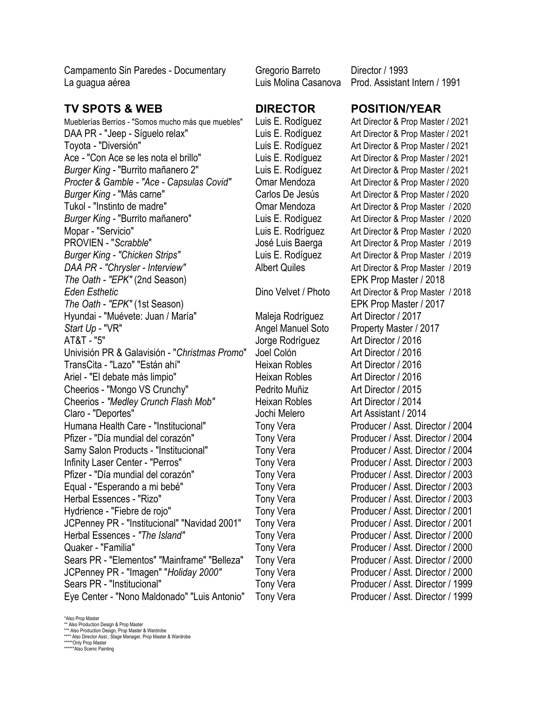Campamento Sin Paredes - Documentary Gregorio Barreto Director / 1993 La guagua aérea Luis Molina Casanova Prod. Assistant Intern / 1991

### **TV SPOTS & WEB DIRECTOR POSITION/YEAR**

Mueblerías Berríos - "Somos mucho más que muebles" Luis E. Rodíguez Art Director & Prop Master / 2021 DAA PR - "Jeep - Síguelo relax" Luis E. Rodíguez Art Director & Prop Master / 2021 Toyota *-* "Diversión" Luis E. Rodíguez Art Director & Prop Master / 2021 Ace *-* "Con Ace se les nota el brillo" Luis E. Rodíguez Art Director & Prop Master / 2021 *Burger King -* "Burrito mañanero 2" Luis E. Rodíguez Art Director & Prop Master / 2021 *Procter & Gamble - "Ace - Capsulas Covid"* Omar Mendoza Art Director & Prop Master / 2020 *Burger King -* "Más carne" Carlos De Jesús Art Director & Prop Master / 2020 Tukol - "Instinto de madre" Omar Mendoza Art Director & Prop Master / 2020 *Burger King -* "Burrito mañanero" Luis E. Rodíguez Art Director & Prop Master / 2020 Mopar - "Servicio" Luis E. Rodríguez Art Director & Prop Master / 2020 PROVIEN - "Scrabble" José Luis Baerga Art Director & Prop Master / 2019 *Burger King - "Chicken Strips"* Luis E. Rodíguez Art Director & Prop Master / 2019 *DAA PR - "Chrysler - Interview"* Albert Quiles Art Director & Prop Master / 2019 *The Oath - "EPK"* (2nd Season) EPK Prop Master / 2018 *Eden Esthetic* Dino Velvet / Photo Art Director & Prop Master / 2018 *The Oath - "EPK"* (1st Season) EPK Prop Master / 2017 Hyundai - "Muévete: Juan / María" Maleja Rodríguez Art Director / 2017 Start Up - "VR" Angel Manuel Soto Property Master / 2017 AT&T - "5" Jorge Rodríguez Art Director / 2016 Univisión PR & Galavisión - "*Christmas Promo*" Joel Colón Art Director / 2016 TransCita - "Lazo" "Están ahí" heixan Robles Art Director / 2016 Ariel - "El debate más limpio" de estableceu el Heixan Robles Art Director / 2016 Cheerios - "Mongo VS Crunchy" Pedrito Muñiz Art Director / 2015 Cheerios - "Medley Crunch Flash Mob" Heixan Robles Art Director / 2014 Claro - "Deportes" Jochi Melero Art Assistant / 2014 Humana Health Care - "Institucional" Tony Vera Producer / Asst. Director / 2004 Pfizer - "Día mundial del corazón" Tony Vera Producer / Asst. Director / 2004 Samy Salon Products - "Institucional" Tony Vera Producer / Asst. Director / 2004 Infinity Laser Center - "Perros" Tony Vera Producer / Asst. Director / 2003 Pfizer - "Día mundial del corazón" Tony Vera Producer / Asst. Director / 2003 Equal - "Esperando a mi bebé" Tony Vera Producer / Asst. Director / 2003 Herbal Essences - "Rizo" Tony Vera Producer / Asst. Director / 2003 Hydrience - "Fiebre de rojo" Tony Vera Producer / Asst. Director / 2001 JCPenney PR - "Institucional" "Navidad 2001" Tony Vera Producer / Asst. Director / 2001 Herbal Essences - "The Island" Tony Vera Producer / Asst. Director / 2000 Quaker - "Familia" Tony Vera Producer / Asst. Director / 2000 Sears PR - "Elementos" "Mainframe" "Belleza" Tony Vera Producer / Asst. Director / 2000 JCPenney PR - "Imagen" "*Holiday 2000"* Tony Vera Producer / Asst. Director / 2000 Sears PR - "Institucional" Tony Vera Producer / Asst. Director / 1999 Eye Center - "Nono Maldonado" "Luis Antonio" Tony Vera Producer / Asst. Director / 1999

\*Also Prop Master

\*\* Also Production Design & Prop Master

\*\*\* Also Production Design, Prop Master & Wardrobe \*\*\*\* Also Director Asst., Stage Manager, Prop Master & Wardrobe

- 
- \*\*\*\*\*Only Prop Master \*\*\*\*\*\*Also Scenic Painting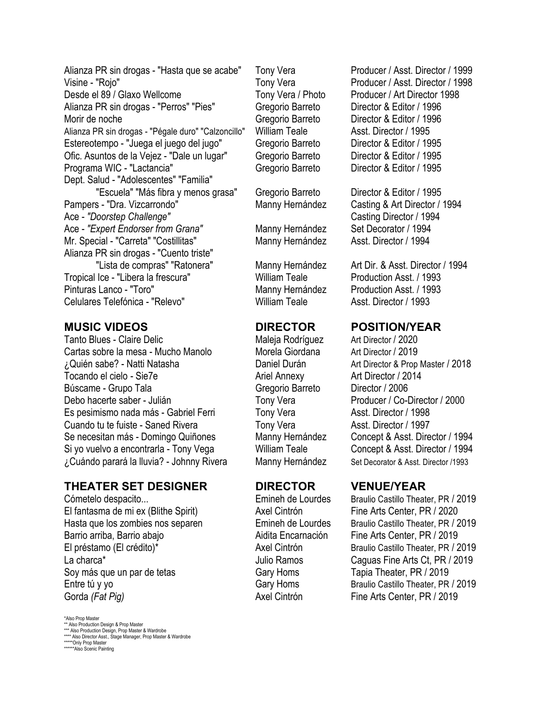Alianza PR sin drogas - "Hasta que se acabe" Tony Vera Producer / Asst. Director / 1999 Visine - "Rojo" Tony Vera Producer / Asst. Director / 1998 Desde el 89 / Glaxo Wellcome Tony Vera / Photo Producer / Art Director 1998 Alianza PR sin drogas - "Perros" "Pies" Gregorio Barreto Director & Editor / 1996 Morir de noche Gregorio Barreto Chinese Director & Editor / 1996 Alianza PR sin drogas - "Pégale duro" "Calzoncillo" William Teale Asst. Director / 1995 Estereotempo - "Juega el juego del jugo" Gregorio Barreto Director & Editor / 1995 Ofic. Asuntos de la Vejez - "Dale un lugar" Gregorio Barreto Director & Editor / 1995 Programa WIC - "Lactancia" Gregorio Barreto Director & Editor / 1995 Dept. Salud - "Adolescentes" "Familia" "Escuela" "Más fibra y menos grasa" Gregorio Barreto Director & Editor / 1995 Pampers - "Dra. Vizcarrondo" Manny Hernández Casting & Art Director / 1994 Ace - *"Doorstep Challenge"* 
and the contract contract **Casting Director / 1994** Ace - *"Expert Endorser from Grana"* Manny Hernández Set Decorator / 1994 Mr. Special - "Carreta" "Costillitas" Manny Hernández Asst. Director / 1994 Alianza PR sin drogas - "Cuento triste" "Lista de compras" "Ratonera" Manny Hernández Art Dir. & Asst. Director / 1994 Tropical Ice - "Libera la frescura" William Teale Production Asst. / 1993 Pinturas Lanco - "Toro" Manny Hernández Production Asst. / 1993 Celulares Telefónica - "Relevo" William Teale Asst. Director / 1993

Tanto Blues - Claire Delic **Maleja Rodríguez** Art Director / 2020 Cartas sobre la mesa - Mucho Manolo Morela Giordana Art Director / 2019 ¿Quién sabe? - Natti Natasha Daniel Durán Art Director & Prop Master / 2018 Tocando el cielo - Sie7e Ariel Annexy Art Director / 2014 Búscame - Grupo Tala **Gregorio Barreto** Director / 2006 Debo hacerte saber - Julián Tony Vera Producer / Co-Director / 2000 Es pesimismo nada más - Gabriel Ferri Tony Vera Asst. Director / 1998 Cuando tu te fuiste - Saned Rivera Tony Vera Tony Vera Asst. Director / 1997 Se necesitan más - Domingo Quiñones Manny Hernández Concept & Asst. Director / 1994 Si yo vuelvo a encontrarla - Tony Vega William Teale Concept & Asst. Director / 1994 ¿Cuándo parará la lluvia? - Johnny Rivera Manny Hernández Set Decorator & Asst. Director /1993

### **THEATER SET DESIGNER DIRECTOR VENUE/YEAR**

Cómetelo despacito... Emineh de Lourdes Braulio Castillo Theater, PR / 2019 El fantasma de mi ex (Blithe Spirit) Axel Cintrón Fine Arts Center, PR / 2020 Hasta que los zombies nos separen Emineh de Lourdes Braulio Castillo Theater, PR / 2019 Barrio arriba, Barrio abajo **Aidita Encarnación** Fine Arts Center, PR / 2019 El préstamo (El crédito)\* Axel Cintrón Braulio Castillo Theater, PR / 2019 La charca<sup>\*</sup> The Caguas Fine Arts Ct, PR / 2019 Soy más que un par de tetas Gary Homs Tapia Theater, PR / 2019 Entre tú y yo **Election Castillo Theater, PR / 2019** Gary Homs Braulio Castillo Theater, PR / 2019 Gorda *(Fat Pig)* **Axel Cintrón** Fine Arts Center, PR / 2019

\*Also Prop Master \*\* Also Production Design & Prop Master \*\*\* Also Production Design, Prop Master & Wardrobe \*\*\*\* Also Director Asst., Stage Manager, Prop Master & Wardrobe \*\*\*\*\*Only Prop Master \*\*\*\*\*\*Also Scenic Painting

### **MUSIC VIDEOS DIRECTOR POSITION/YEAR**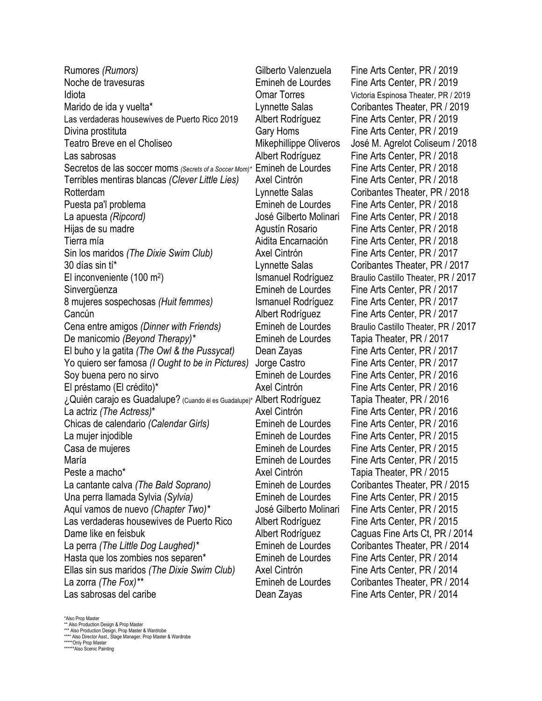Rumores *(Rumors)* Gilberto Valenzuela Fine Arts Center, PR / 2019 Noche de travesuras Emineh de Lourdes Fine Arts Center, PR / 2019 Idiota Omar Torres Victoria Espinosa Theater, PR / 2019 Marido de ida y vuelta\* Lynnette Salas Coribantes Theater, PR / 2019 Las verdaderas housewives de Puerto Rico 2019 Albert Rodríguez Fine Arts Center, PR / 2019 Divina prostituta **Example 2019** Gary Homs Fine Arts Center, PR / 2019 Teatro Breve en el Choliseo Mikephillippe Oliveros José M. Agrelot Coliseum / 2018 Las sabrosas **Albert Rodríguez** Fine Arts Center, PR / 2018 Secretos de las soccer moms *(Secrets of a Soccer Mom)*\* Emineh de Lourdes Fine Arts Center, PR / 2018 Terribles mentiras blancas *(Clever Little Lies)* Axel Cintrón Fine Arts Center, PR / 2018 Rotterdam Lynnette Salas Coribantes Theater, PR / 2018 Puesta pa'l problema Emineh de Lourdes Fine Arts Center, PR / 2018 La apuesta *(Ripcord)* José Gilberto Molinari Fine Arts Center, PR / 2018 Hijas de su madre Agustín Rosario Fine Arts Center, PR / 2018 Tierra mía Aidita Encarnación Fine Arts Center, PR / 2018 Sin los maridos *(The Dixie Swim Club)* Axel Cintrón Fine Arts Center, PR / 2017 30 días sin tí\* Lynnette Salas Coribantes Theater, PR / 2017 El inconveniente (100 m<sup>2</sup>) Ismanuel Rodríguez Braulio Castillo Theater, PR / 2017 Sinvergüenza Emineh de Lourdes Fine Arts Center, PR / 2017 8 mujeres sospechosas *(Huit femmes)* Ismanuel Rodríguez Fine Arts Center, PR / 2017 Cancún Albert Rodríguez Fine Arts Center, PR / 2017 Cena entre amigos *(Dinner with Friends)* Emineh de Lourdes Braulio Castillo Theater, PR / 2017 De manicomio *(Beyond Therapy)\** Emineh de Lourdes Tapia Theater, PR / 2017 El buho y la gatita *(The Owl & the Pussycat)* Dean Zayas Fine Arts Center, PR / 2017 Yo quiero ser famosa *(I Ought to be in Pictures)* Jorge Castro Fine Arts Center, PR / 2017 Soy buena pero no sirvo Emineh de Lourdes Fine Arts Center, PR / 2016 El préstamo (El crédito)\* Axel Cintrón Fine Arts Center, PR / 2016 ¿Quién carajo es Guadalupe? (Cuando él es Guadalupe)\* Albert Rodríguez Tapia Theater, PR / 2016 La actriz *(The Actress)*\* Axel Cintrón Fine Arts Center, PR / 2016 Chicas de calendario *(Calendar Girls)* Emineh de Lourdes Fine Arts Center, PR / 2016 La mujer injodible Emineh de Lourdes Fine Arts Center, PR / 2015 Casa de mujeres Emineh de Lourdes Fine Arts Center, PR / 2015 María Emineh de Lourdes Fine Arts Center, PR / 2015 Peste a macho\* Tapia Theater, PR / 2015 La cantante calva *(The Bald Soprano)* Emineh de Lourdes Coribantes Theater, PR / 2015 Una perra llamada Sylvia *(Sylvia)* Emineh de Lourdes Fine Arts Center, PR / 2015 Aquí vamos de nuevo *(Chapter Two)\** José Gilberto Molinari Fine Arts Center, PR / 2015 Las verdaderas housewives de Puerto Rico Albert Rodríguez Fine Arts Center, PR / 2015 Dame like en feisbuk **Albert Rodríguez** Caguas Fine Arts Ct, PR / 2014 La perra *(The Little Dog Laughed)\** Emineh de Lourdes Coribantes Theater, PR / 2014 Hasta que los zombies nos separen\* Emineh de Lourdes Fine Arts Center, PR / 2014 Ellas sin sus maridos *(The Dixie Swim Club)* Axel Cintrón Fine Arts Center, PR / 2014 La zorra *(The Fox)\*\** Emineh de Lourdes Coribantes Theater, PR / 2014 Las sabrosas del caribe **Dean Zayas** Fine Arts Center, PR / 2014

\*Also Prop Master \*\* Also Production Design & Prop Master \*\*\* Also Production Design, Prop Master & Wardrobe \*\*\*\* Also Director Asst., Stage Manager, Prop Master & Wardrobe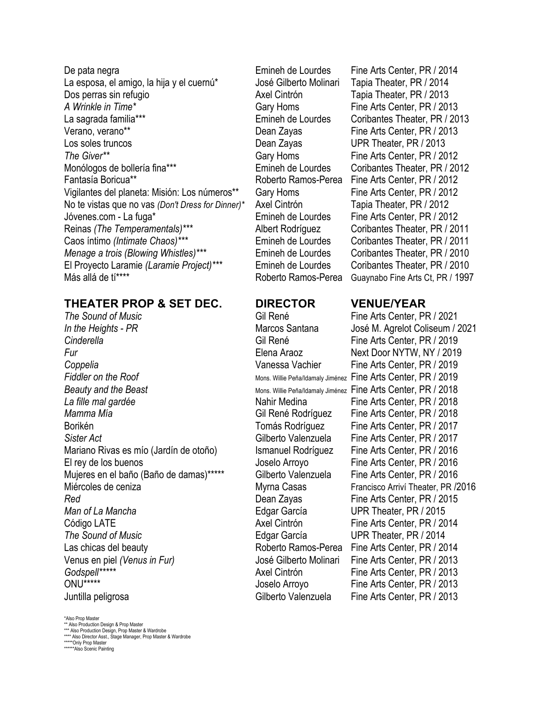De pata negra Emineh de Lourdes Fine Arts Center, PR / 2014 La esposa, el amigo, la hija y el cuernú<sup>\*</sup> José Gilberto Molinari Tapia Theater, PR / 2014 Dos perras sin refugio Axel Cintrón Tapia Theater, PR / 2013 *A Wrinkle in Time\** Gary Homs Fine Arts Center, PR / 2013 La sagrada familia\*\*\* Emineh de Lourdes Coribantes Theater, PR / 2013 Verano, verano\*\* Dean Zayas Fine Arts Center, PR / 2013 Los soles truncos Dean Zayas UPR Theater, PR / 2013 The Giver<sup>\*\*</sup> The Giver<sup>\*\*</sup> Gary Homs Fine Arts Center, PR / 2012 Monólogos de bollería fina\*\*\* Emineh de Lourdes Coribantes Theater, PR / 2012 Fantasía Boricua\*\* Roberto Ramos-Perea Fine Arts Center, PR / 2012 Vigilantes del planeta: Misión: Los números\*\* Gary Homs Fine Arts Center, PR / 2012 No te vistas que no vas *(Don't Dress for Dinner)*<sup>\*</sup> Axel Cintrón Tapia Theater, PR / 2012 Jóvenes.com - La fuga\* Emineh de Lourdes Fine Arts Center, PR / 2012 Reinas *(The Temperamentals)*\*\*\* Albert Rodríguez Coribantes Theater, PR / 2011 Caos íntimo *(Intimate Chaos)\*\*\** Emineh de Lourdes Coribantes Theater, PR / 2011 *Menage a trois (Blowing Whistles)\*\*\** Emineh de Lourdes Coribantes Theater, PR / 2010 El Proyecto Laramie *(Laramie Project)\*\*\** Emineh de Lourdes Coribantes Theater, PR / 2010 Más allá de ti<sup>\*\*\*\*</sup> The Territorium Roberto Ramos-Perea Guaynabo Fine Arts Ct, PR / 1997

## **THEATER PROP & SET DEC. DIRECTOR VENUE/YEAR**

**The Sound of Music Fine Arts Center, PR / 2021** *In the Heights - PR* Marcos Santana José M. Agrelot Coliseum / 2021 *Cinderella* Gil René Fine Arts Center, PR / 2019 *Fur* **Elena Araoz Next Door NYTW, NY / 2019** *Coppelia* Vanessa Vachier Fine Arts Center, PR / 2019 *Fiddler on the Roof* Mons. Willie Peña/Idamaly Jiménez Fine Arts Center, PR / 2019 **Beauty and the Beast** Mons. Willie Peña/Idamaly Jiménez Fine Arts Center, PR / 2018 *La fille mal gardée* Nahir Medina Fine Arts Center, PR / 2018 *Mamma Mía* **Gil René Rodríguez** Fine Arts Center, PR / 2018 Borikén **The Arts Center, PR / 2017** Tomás Rodríguez Fine Arts Center, PR / 2017 *Sister Act* Gilberto Valenzuela Fine Arts Center, PR / 2017 Mariano Rivas es mío (Jardín de otoño) Ismanuel Rodríguez Fine Arts Center, PR / 2016 El rey de los buenos Joselo Arroyo Fine Arts Center, PR / 2016 Mujeres en el baño (Baño de damas)\*\*\*\*\* Gilberto Valenzuela Fine Arts Center, PR / 2016 Miércoles de ceniza **Myrna Casas** Francisco Arriví Theater, PR /2016 **Red Red Red Red Red Red Red Red Red Red Red Red Red Red R***R* **R R R R R R R R** *R R R R R R R R R R R n n n Man of La Mancha* Edgar García UPR Theater, PR / 2015 Código LATE **Axel Cintrón** Fine Arts Center, PR / 2014 *The Sound of Music* Edgar García UPR Theater, PR / 2014 Las chicas del beauty **Roberto Ramos-Perea** Fine Arts Center, PR / 2014 Venus en piel *(Venus in Fur)* José Gilberto Molinari Fine Arts Center, PR / 2013 ONU\*\*\*\*\* The Arts Center, PR / 2013 Juntilla peligrosa Gilberto Valenzuela Fine Arts Center, PR / 2013

Axel Cintrón **Fine Arts Center, PR / 2013** 

\*Also Prop Master \*\* Also Production Design & Prop Master

\*\*\* Also Production Design, Prop Master & Wardrobe \*\*\*\* Also Director Asst., Stage Manager, Prop Master & Wardrobe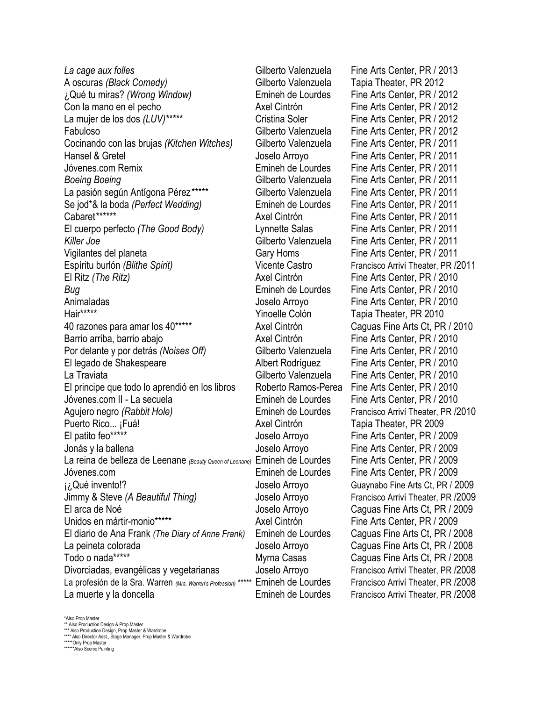*La cage aux folles* Gilberto Valenzuela Fine Arts Center, PR / 2013 A oscuras *(Black Comedy)* Gilberto Valenzuela Tapia Theater, PR 2012 ¿Qué tu miras? *(Wrong Window)* Emineh de Lourdes Fine Arts Center, PR / 2012 Con la mano en el pecho  $\overline{A}$  Axel Cintrón Fine Arts Center, PR / 2012 La mujer de los dos (LUV)\*\*\*\*\* Cristina Soler Fine Arts Center, PR / 2012 Fabuloso Gilberto Valenzuela Fine Arts Center, PR / 2012 Cocinando con las brujas *(Kitchen Witches)* Gilberto Valenzuela Fine Arts Center, PR / 2011 Hansel & Gretel **Hansel & Gretel** Joselo Arroyo Fine Arts Center, PR / 2011 Jóvenes.com Remix Emineh de Lourdes Fine Arts Center, PR / 2011 **Boeing Boeing Gilberto Valenzuela** Fine Arts Center, PR / 2011 La pasión según Antígona Pérez<sup>\*\*\*\*\*</sup> Gilberto Valenzuela Fine Arts Center, PR / 2011 Se jod\*& la boda *(Perfect Wedding)* Emineh de Lourdes Fine Arts Center, PR / 2011 El cuerpo perfecto *(The Good Body)* Lynnette Salas Fine Arts Center, PR / 2011 *Killer Joe* Gilberto Valenzuela Fine Arts Center, PR / 2011 Vigilantes del planeta Gary Homs Fine Arts Center, PR / 2011 Espíritu burlón *(Blithe Spirit)* Vicente Castro Francisco Arriví Theater, PR /2011 El Ritz *(The Ritz)* Axel Cintrón Fine Arts Center, PR / 2010 **Bug** Emineh de Lourdes Fine Arts Center, PR / 2010 Animaladas **Animaladas** Joselo Arroyo Fine Arts Center, PR / 2010 Hair\*\*\*\*\* Yinoelle Colón Tapia Theater, PR 2010 40 razones para amar los 40\*\*\*\*\* Axel Cintrón Caguas Fine Arts Ct, PR / 2010 Barrio arriba, barrio abajo **Axel Cintrón** Fine Arts Center, PR / 2010 Por delante y por detrás *(Noises Off)* Gilberto Valenzuela Fine Arts Center, PR / 2010 El legado de Shakespeare **Albert Rodríguez** Fine Arts Center, PR / 2010 La Traviata Gilberto Valenzuela Fine Arts Center, PR / 2010 El principe que todo lo aprendió en los libros Roberto Ramos-Perea Fine Arts Center, PR / 2010 Jóvenes.com II - La secuela **Emineh de Lourdes** Fine Arts Center, PR / 2010 Agujero negro *(Rabbit Hole)* Emineh de Lourdes Francisco Arriví Theater, PR /2010 Puerto Rico... ¡Fuá! Cintrón Axel Cintrón Tapia Theater, PR 2009 El patito feo\*\*\*\*\* The Arts Center, PR / 2009 Jonás y la ballena Joselo Arroyo Fine Arts Center, PR / 2009 La reina de belleza de Leenane <sub>(Beauty Queen of Leenane)</sub> Emineh de Lourdes Fine Arts Center, PR / 2009 Jóvenes.com Emineh de Lourdes Fine Arts Center, PR / 2009 ¡¿Qué invento!? Joselo Arroyo Guaynabo Fine Arts Ct, PR / 2009 Jimmy & Steve *(A Beautiful Thing)* Joselo Arroyo Francisco Arriví Theater, PR /2009 El arca de Noé Joselo Arroyo Caguas Fine Arts Ct, PR / 2009 Unidos en mártir-monio\*\*\*\*\* <br>Axel Cintrón Fine Arts Center, PR / 2009 El diario de Ana Frank *(The Diary of Anne Frank)* Emineh de Lourdes Caguas Fine Arts Ct, PR / 2008 La peineta colorada Joselo Arroyo Caguas Fine Arts Ct, PR / 2008 Todo o nada\*\*\*\*\* The Casas Caguas Fine Arts Ct, PR / 2008 Divorciadas, evangélicas y vegetarianas Joselo Arroyo Francisco Arriví Theater, PR /2008 La profesión de la Sra. Warren *(Mrs. Warren's Profession)* \*\*\*\*\* Emineh de Lourdes Francisco Arriví Theater, PR /2008 La muerte y la doncella Emineh de Lourdes Francisco Arriví Theater, PR /2008

Axel Cintrón Fine Arts Center, PR / 2011

\*Also Prop Master \*\* Also Production Design & Prop Master

\*\*\* Also Production Design, Prop Master & Wardrobe \*\*\*\* Also Director Asst., Stage Manager, Prop Master & Wardrobe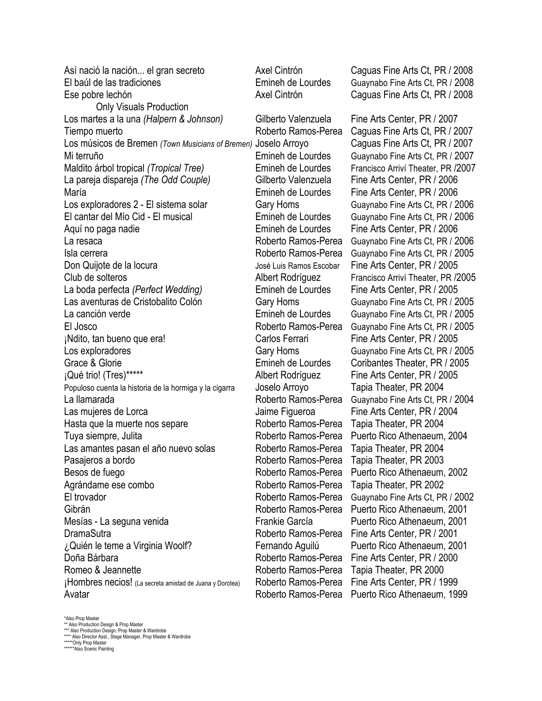El baúl de las tradiciones Emineh de Lourdes Guaynabo Fine Arts Ct, PR / 2008 Ese pobre lechón Axel Cintrón Caguas Fine Arts Ct, PR / 2008 Only Visuals Production Los martes a la una *(Halpern & Johnson)* Gilberto Valenzuela Fine Arts Center, PR / 2007 Tiempo muerto **Roberto Ramos-Perea** Caguas Fine Arts Ct, PR / 2007 Los músicos de Bremen *(Town Musicians of Bremen)* Joselo Arroyo Caguas Fine Arts Ct, PR / 2007 Mi terruño Emineh de Lourdes Guaynabo Fine Arts Ct, PR / 2007 Maldito árbol tropical *(Tropical Tree)* Emineh de Lourdes Francisco Arriví Theater, PR /2007 La pareja dispareja *(The Odd Couple)* Gilberto Valenzuela Fine Arts Center, PR / 2006 María Emineh de Lourdes Fine Arts Center, PR / 2006 Los exploradores 2 - El sistema solar Gary Homs Guaynabo Fine Arts Ct, PR / 2006 El cantar del Mío Cid - El musical Emineh de Lourdes Guaynabo Fine Arts Ct, PR / 2006 Aquí no paga nadie **Emineh de Lourdes** Fine Arts Center, PR / 2006 La resaca Roberto Ramos-Perea Guaynabo Fine Arts Ct, PR / 2006 Isla cerrera Roberto Ramos-Perea Guaynabo Fine Arts Ct, PR / 2005 Don Quijote de la locura Donne Luis Ramos Escobar Fine Arts Center, PR / 2005 Club de solteros Albert Rodríguez Francisco Arriví Theater, PR /2005 La boda perfecta *(Perfect Wedding)* Emineh de Lourdes Fine Arts Center, PR / 2005 Las aventuras de Cristobalito Colón Gary Homs Guaynabo Fine Arts Ct, PR / 2005 La canción verde **Emineh de Lourdes** Guaynabo Fine Arts Ct, PR / 2005 El Josco Roberto Ramos-Perea Guaynabo Fine Arts Ct, PR / 2005 ¡Ndito, tan bueno que era! Carlos Ferrari Fine Arts Center, PR / 2005 Los exploradores Gary Homs Guaynabo Fine Arts Ct, PR / 2005 Grace & Glorie **Emineh de Lourdes** Coribantes Theater, PR / 2005<br>
iQué trio! (Tres)\*\*\*\*\*<br>
Albert Rodríguez Fine Arts Center, PR / 2005 Populoso cuenta la historia de la hormiga y la cigarra Joselo Arroyo Tapia Theater, PR 2004 La llamarada **Roberto Ramos-Perea** Guaynabo Fine Arts Ct, PR / 2004 Las mujeres de Lorca **Interpretata Las Arts Center, PR** / 2004 Hasta que la muerte nos separe Roberto Ramos-Perea Tapia Theater, PR 2004 Tuya siempre, Julita **Roberto Ramos-Perea** Puerto Rico Athenaeum, 2004 Las amantes pasan el año nuevo solas Roberto Ramos-Perea Tapia Theater, PR 2004 Pasajeros a bordo **Roberto Ramos-Perea** Tapia Theater, PR 2003 Besos de fuego **Roberto Ramos-Perea** Puerto Rico Athenaeum, 2002 Agrándame ese combo **Roberto Ramos-Perea** Tapia Theater, PR 2002 El trovador **El trovador** Roberto Ramos-Perea Guaynabo Fine Arts Ct, PR / 2002 Gibrán Roberto Ramos-Perea Puerto Rico Athenaeum, 2001 Mesías - La seguna venida Frankie García Puerto Rico Athenaeum, 2001 DramaSutra Roberto Ramos-Perea Fine Arts Center, PR / 2001 ¿Quién le teme a Virginia Woolf? Fernando Aguilú Puerto Rico Athenaeum, 2001 Doña Bárbara **Roberto Ramos-Perea** Fine Arts Center, PR / 2000 Romeo & Jeannette **Roberto Ramos-Perea** Tapia Theater, PR 2000 ¡Hombres necios! (La secreta amistad de Juana y Dorotea) Roberto Ramos-Perea Fine Arts Center, PR / 1999 Avatar **Avatar** Roberto Ramos-Perea Puerto Rico Athenaeum, 1999

Así nació la nación... el gran secreto Axel Cintrón Caguas Fine Arts Ct, PR / 2008

Albert Rodríguez Fine Arts Center, PR / 2005

\*Also Prop Master

\*\* Also Production Design & Prop Master

\*\*\* Also Production Design, Prop Master & Wardrobe \*\*\*\* Also Director Asst., Stage Manager, Prop Master & Wardrobe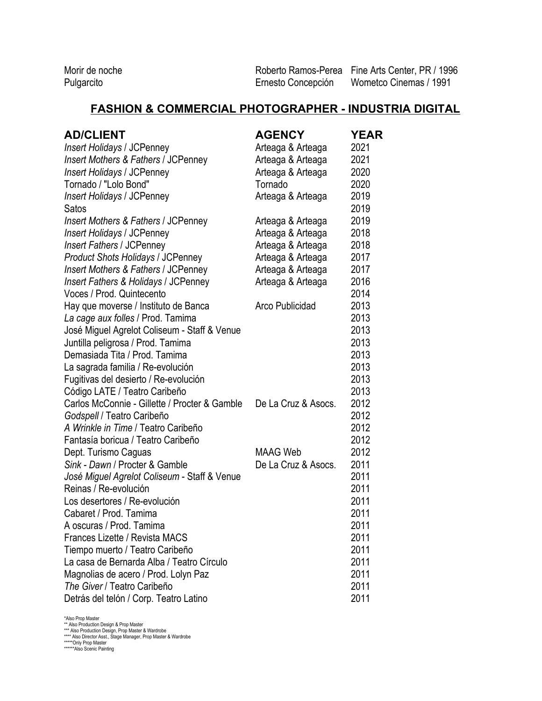Morir de noche **Roberto Ramos-Perea** Fine Arts Center, PR / 1996<br>
Pulgarcito **Roberto Concepción** Wometco Cinemas / 1991 Ernesto Concepción Wometco Cinemas / 1991

# **FASHION & COMMERCIAL PHOTOGRAPHER - INDUSTRIA DIGITAL**

| <b>AD/CLIENT</b>                                | <b>AGENCY</b>       | <b>YEAR</b> |
|-------------------------------------------------|---------------------|-------------|
| <b>Insert Holidays / JCPenney</b>               | Arteaga & Arteaga   | 2021        |
| <b>Insert Mothers &amp; Fathers / JCPenney</b>  | Arteaga & Arteaga   | 2021        |
| <b>Insert Holidays / JCPenney</b>               | Arteaga & Arteaga   | 2020        |
| Tornado / "Lolo Bond"                           | Tornado             | 2020        |
| <b>Insert Holidays / JCPenney</b>               | Arteaga & Arteaga   | 2019        |
| Satos                                           |                     | 2019        |
| Insert Mothers & Fathers / JCPenney             | Arteaga & Arteaga   | 2019        |
| <b>Insert Holidays / JCPenney</b>               | Arteaga & Arteaga   | 2018        |
| <b>Insert Fathers / JCPenney</b>                | Arteaga & Arteaga   | 2018        |
| <b>Product Shots Holidays / JCPenney</b>        | Arteaga & Arteaga   | 2017        |
| Insert Mothers & Fathers / JCPenney             | Arteaga & Arteaga   | 2017        |
| <b>Insert Fathers &amp; Holidays / JCPenney</b> | Arteaga & Arteaga   | 2016        |
| Voces / Prod. Quintecento                       |                     | 2014        |
| Hay que moverse / Instituto de Banca            | Arco Publicidad     | 2013        |
| La cage aux folles / Prod. Tamima               |                     | 2013        |
| José Miguel Agrelot Coliseum - Staff & Venue    |                     | 2013        |
| Juntilla peligrosa / Prod. Tamima               |                     | 2013        |
| Demasiada Tita / Prod. Tamima                   |                     | 2013        |
| La sagrada familia / Re-evolución               |                     | 2013        |
| Fugitivas del desierto / Re-evolución           |                     | 2013        |
| Código LATE / Teatro Caribeño                   |                     | 2013        |
| Carlos McConnie - Gillette / Procter & Gamble   | De La Cruz & Asocs. | 2012        |
| Godspell / Teatro Caribeño                      |                     | 2012        |
| A Wrinkle in Time / Teatro Caribeño             |                     | 2012        |
| Fantasía boricua / Teatro Caribeño              |                     | 2012        |
| Dept. Turismo Caguas                            | <b>MAAG Web</b>     | 2012        |
| Sink - Dawn / Procter & Gamble                  | De La Cruz & Asocs. | 2011        |
| José Miguel Agrelot Coliseum - Staff & Venue    |                     | 2011        |
| Reinas / Re-evolución                           |                     | 2011        |
| Los desertores / Re-evolución                   |                     | 2011        |
| Cabaret / Prod. Tamima                          |                     | 2011        |
| A oscuras / Prod. Tamima                        |                     | 2011        |
| Frances Lizette / Revista MACS                  |                     | 2011        |
| Tiempo muerto / Teatro Caribeño                 |                     | 2011        |
| La casa de Bernarda Alba / Teatro Círculo       |                     | 2011        |
| Magnolias de acero / Prod. Lolyn Paz            |                     | 2011        |
| The Giver / Teatro Caribeño                     |                     | 2011        |
| Detrás del telón / Corp. Teatro Latino          |                     | 2011        |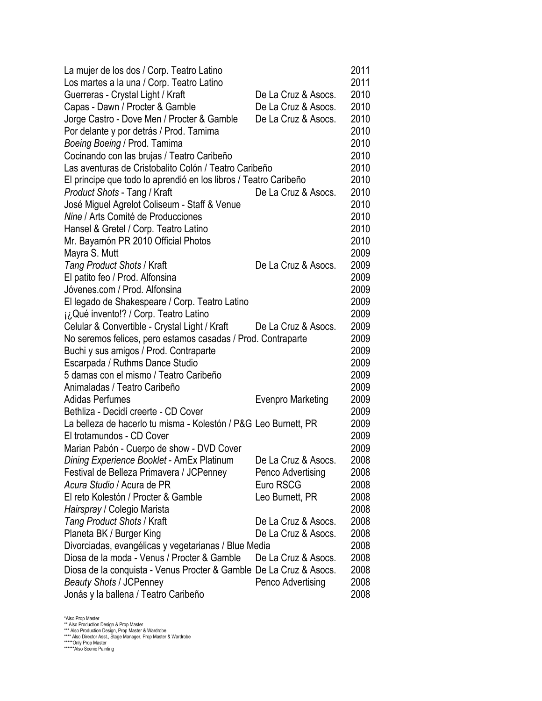| La mujer de los dos / Corp. Teatro Latino                          |                     | 2011 |
|--------------------------------------------------------------------|---------------------|------|
| Los martes a la una / Corp. Teatro Latino                          |                     | 2011 |
| Guerreras - Crystal Light / Kraft                                  | De La Cruz & Asocs. | 2010 |
| Capas - Dawn / Procter & Gamble                                    | De La Cruz & Asocs. | 2010 |
| Jorge Castro - Dove Men / Procter & Gamble                         | De La Cruz & Asocs. | 2010 |
| Por delante y por detrás / Prod. Tamima                            |                     | 2010 |
| Boeing Boeing / Prod. Tamima                                       |                     | 2010 |
| Cocinando con las brujas / Teatro Caribeño                         |                     | 2010 |
| Las aventuras de Cristobalito Colón / Teatro Caribeño              |                     | 2010 |
| El principe que todo lo aprendió en los libros / Teatro Caribeño   |                     | 2010 |
| Product Shots - Tang / Kraft                                       | De La Cruz & Asocs. | 2010 |
| José Miguel Agrelot Coliseum - Staff & Venue                       |                     | 2010 |
| Nine / Arts Comité de Producciones                                 |                     | 2010 |
| Hansel & Gretel / Corp. Teatro Latino                              |                     | 2010 |
| Mr. Bayamón PR 2010 Official Photos                                |                     | 2010 |
| Mayra S. Mutt                                                      |                     | 2009 |
| Tang Product Shots / Kraft                                         | De La Cruz & Asocs. | 2009 |
| El patito feo / Prod. Alfonsina                                    |                     | 2009 |
| Jóvenes.com / Prod. Alfonsina                                      |                     | 2009 |
| El legado de Shakespeare / Corp. Teatro Latino                     |                     | 2009 |
| i¿Qué invento!? / Corp. Teatro Latino                              |                     | 2009 |
| Celular & Convertible - Crystal Light / Kraft                      | De La Cruz & Asocs. | 2009 |
| No seremos felices, pero estamos casadas / Prod. Contraparte       |                     | 2009 |
| Buchi y sus amigos / Prod. Contraparte                             |                     | 2009 |
| Escarpada / Ruthms Dance Studio                                    |                     | 2009 |
| 5 damas con el mismo / Teatro Caribeño                             |                     | 2009 |
| Animaladas / Teatro Caribeño                                       |                     | 2009 |
| <b>Adidas Perfumes</b>                                             | Evenpro Marketing   | 2009 |
| Bethliza - Decidí creerte - CD Cover                               |                     | 2009 |
| La belleza de hacerlo tu misma - Kolestón / P&G Leo Burnett, PR    |                     | 2009 |
| El trotamundos - CD Cover                                          |                     | 2009 |
| Marian Pabón - Cuerpo de show - DVD Cover                          |                     | 2009 |
| Dining Experience Booklet - AmEx Platinum                          | De La Cruz & Asocs. | 2008 |
| Festival de Belleza Primavera / JCPenney                           | Penco Advertising   | 2008 |
| Acura Studio / Acura de PR                                         | Euro RSCG           | 2008 |
| El reto Kolestón / Procter & Gamble                                | Leo Burnett, PR     | 2008 |
| Hairspray / Colegio Marista                                        |                     | 2008 |
| Tang Product Shots / Kraft                                         | De La Cruz & Asocs. | 2008 |
| Planeta BK / Burger King                                           | De La Cruz & Asocs. | 2008 |
| Divorciadas, evangélicas y vegetarianas / Blue Media               |                     | 2008 |
| Diosa de la moda - Venus / Procter & Gamble                        | De La Cruz & Asocs. | 2008 |
| Diosa de la conquista - Venus Procter & Gamble De La Cruz & Asocs. |                     | 2008 |
| <b>Beauty Shots / JCPenney</b>                                     | Penco Advertising   | 2008 |
| Jonás y la ballena / Teatro Caribeño                               |                     | 2008 |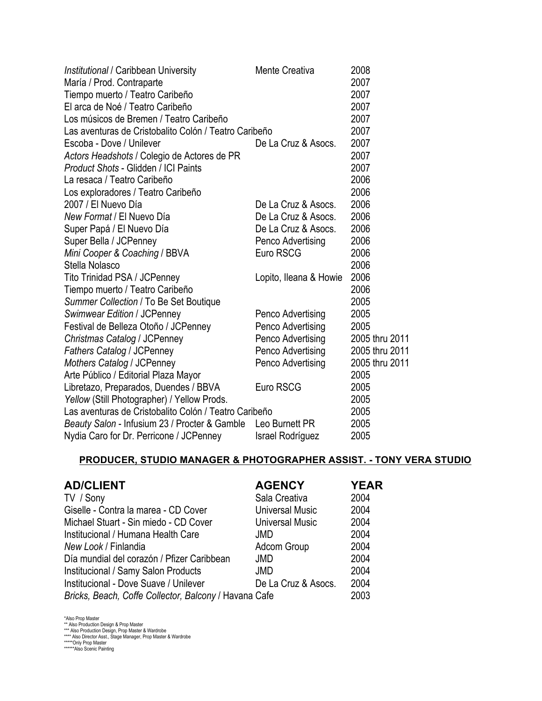| Institutional / Caribbean University                  | <b>Mente Creativa</b>  | 2008           |
|-------------------------------------------------------|------------------------|----------------|
| María / Prod. Contraparte                             |                        | 2007           |
| Tiempo muerto / Teatro Caribeño                       |                        | 2007           |
| El arca de Noé / Teatro Caribeño                      |                        | 2007           |
| Los músicos de Bremen / Teatro Caribeño               |                        | 2007           |
| Las aventuras de Cristobalito Colón / Teatro Caribeño |                        | 2007           |
| Escoba - Dove / Unilever                              | De La Cruz & Asocs.    | 2007           |
| Actors Headshots / Colegio de Actores de PR           |                        | 2007           |
| Product Shots - Glidden / ICI Paints                  |                        | 2007           |
| La resaca / Teatro Caribeño                           |                        | 2006           |
| Los exploradores / Teatro Caribeño                    |                        | 2006           |
| 2007 / El Nuevo Día                                   | De La Cruz & Asocs.    | 2006           |
| New Format / El Nuevo Día                             | De La Cruz & Asocs.    | 2006           |
| Super Papá / El Nuevo Día                             | De La Cruz & Asocs.    | 2006           |
| Super Bella / JCPenney                                | Penco Advertising      | 2006           |
| Mini Cooper & Coaching / BBVA                         | Euro RSCG              | 2006           |
| Stella Nolasco                                        |                        | 2006           |
| Tito Trinidad PSA / JCPenney                          | Lopito, Ileana & Howie | 2006           |
| Tiempo muerto / Teatro Caribeño                       |                        | 2006           |
| Summer Collection / To Be Set Boutique                |                        | 2005           |
| Swimwear Edition / JCPenney                           | Penco Advertising      | 2005           |
| Festival de Belleza Otoño / JCPenney                  | Penco Advertising      | 2005           |
| Christmas Catalog / JCPenney                          | Penco Advertising      | 2005 thru 2011 |
| <b>Fathers Catalog / JCPenney</b>                     | Penco Advertising      | 2005 thru 2011 |
| Mothers Catalog / JCPenney                            | Penco Advertising      | 2005 thru 2011 |
| Arte Público / Editorial Plaza Mayor                  |                        | 2005           |
| Libretazo, Preparados, Duendes / BBVA                 | Euro RSCG              | 2005           |
| Yellow (Still Photographer) / Yellow Prods.           |                        | 2005           |
| Las aventuras de Cristobalito Colón / Teatro Caribeño |                        | 2005           |
| Beauty Salon - Infusium 23 / Procter & Gamble         | Leo Burnett PR         | 2005           |
| Nydia Caro for Dr. Perricone / JCPenney               | Israel Rodríguez       | 2005           |

### **PRODUCER, STUDIO MANAGER & PHOTOGRAPHER ASSIST. - TONY VERA STUDIO**

| <b>AD/CLIENT</b>                                      | <b>AGENCY</b>       | <b>YEAR</b> |
|-------------------------------------------------------|---------------------|-------------|
| TV / Sony                                             | Sala Creativa       | 2004        |
| Giselle - Contra la marea - CD Cover                  | Universal Music     | 2004        |
| Michael Stuart - Sin miedo - CD Cover                 | Universal Music     | 2004        |
| Institucional / Humana Health Care                    | <b>JMD</b>          | 2004        |
| New Look / Finlandia                                  | Adcom Group         | 2004        |
| Día mundial del corazón / Pfizer Caribbean            | <b>JMD</b>          | 2004        |
| Institucional / Samy Salon Products                   | <b>JMD</b>          | 2004        |
| Institucional - Dove Suave / Unilever                 | De La Cruz & Asocs. | 2004        |
| Bricks, Beach, Coffe Collector, Balcony / Havana Cafe |                     | 2003        |

<sup>\*</sup>Also Prop Master<br>\*\* Also Production Design, & Prop Master<br>\*\*\*\* Also Production Design, Prop Master & Wardrobe<br>\*\*\*\* Also Director Asst., Stage Manager, Prop Master & Wardrobe<br>\*\*\*\*\*Also Scenic Painting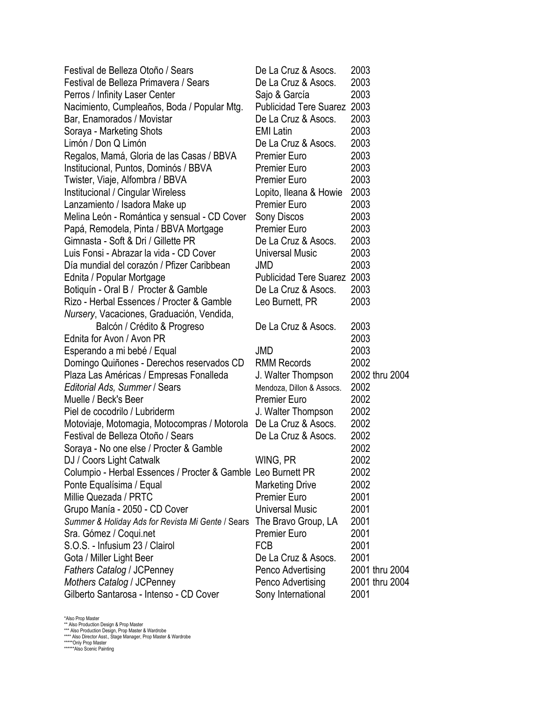| Festival de Belleza Otoño / Sears                                     | De La Cruz & Asocs.           | 2003           |
|-----------------------------------------------------------------------|-------------------------------|----------------|
| Festival de Belleza Primavera / Sears                                 | De La Cruz & Asocs.           | 2003           |
| Perros / Infinity Laser Center                                        | Sajo & García                 | 2003           |
| Nacimiento, Cumpleaños, Boda / Popular Mtg.                           | <b>Publicidad Tere Suarez</b> | 2003           |
| Bar, Enamorados / Movistar                                            | De La Cruz & Asocs.           | 2003           |
| Soraya - Marketing Shots                                              | <b>EMI Latin</b>              | 2003           |
| Limón / Don Q Limón                                                   | De La Cruz & Asocs.           | 2003           |
| Regalos, Mamá, Gloria de las Casas / BBVA                             | <b>Premier Euro</b>           | 2003           |
| Institucional, Puntos, Dominós / BBVA                                 | <b>Premier Euro</b>           | 2003           |
| Twister, Viaje, Alfombra / BBVA                                       | <b>Premier Euro</b>           | 2003           |
| Institucional / Cingular Wireless                                     | Lopito, Ileana & Howie        | 2003           |
| Lanzamiento / Isadora Make up                                         | <b>Premier Euro</b>           | 2003           |
| Melina León - Romántica y sensual - CD Cover                          | Sony Discos                   | 2003           |
| Papá, Remodela, Pinta / BBVA Mortgage                                 | <b>Premier Euro</b>           | 2003           |
| Gimnasta - Soft & Dri / Gillette PR                                   | De La Cruz & Asocs.           | 2003           |
| Luis Fonsi - Abrazar la vida - CD Cover                               | <b>Universal Music</b>        | 2003           |
| Día mundial del corazón / Pfizer Caribbean                            | JMD                           | 2003           |
| Ednita / Popular Mortgage                                             | <b>Publicidad Tere Suarez</b> | 2003           |
| Botiquín - Oral B / Procter & Gamble                                  | De La Cruz & Asocs.           | 2003           |
| Rizo - Herbal Essences / Procter & Gamble                             | Leo Burnett, PR               | 2003           |
| Nursery, Vacaciones, Graduación, Vendida,                             |                               |                |
| Balcón / Crédito & Progreso                                           | De La Cruz & Asocs.           | 2003           |
| Ednita for Avon / Avon PR                                             |                               | 2003           |
| Esperando a mi bebé / Equal                                           | <b>JMD</b>                    | 2003           |
| Domingo Quiñones - Derechos reservados CD                             | <b>RMM Records</b>            | 2002           |
| Plaza Las Américas / Empresas Fonalleda                               | J. Walter Thompson            | 2002 thru 2004 |
| Editorial Ads, Summer / Sears                                         | Mendoza, Dillon & Assocs.     | 2002           |
| Muelle / Beck's Beer                                                  | <b>Premier Euro</b>           | 2002           |
| Piel de cocodrilo / Lubriderm                                         | J. Walter Thompson            | 2002           |
| Motoviaje, Motomagia, Motocompras / Motorola                          | De La Cruz & Asocs.           | 2002           |
| Festival de Belleza Otoño / Sears                                     | De La Cruz & Asocs.           | 2002           |
| Soraya - No one else / Procter & Gamble                               |                               | 2002           |
| DJ / Coors Light Catwalk                                              | WING, PR                      | 2002           |
| Columpio - Herbal Essences / Procter & Gamble Leo Burnett PR          |                               | 2002           |
| Ponte Equalísima / Equal                                              | <b>Marketing Drive</b>        | 2002           |
| Millie Quezada / PRTC                                                 | <b>Premier Euro</b>           | 2001           |
| Grupo Manía - 2050 - CD Cover                                         | <b>Universal Music</b>        | 2001           |
| Summer & Holiday Ads for Revista Mi Gente / Sears The Bravo Group, LA |                               | 2001           |
| Sra. Gómez / Coqui.net                                                | <b>Premier Euro</b>           | 2001           |
| S.O.S. - Infusium 23 / Clairol                                        | <b>FCB</b>                    | 2001           |
| Gota / Miller Light Beer                                              | De La Cruz & Asocs.           | 2001           |
| <b>Fathers Catalog / JCPenney</b>                                     | Penco Advertising             | 2001 thru 2004 |
| Mothers Catalog / JCPenney                                            | Penco Advertising             | 2001 thru 2004 |
| Gilberto Santarosa - Intenso - CD Cover                               | Sony International            | 2001           |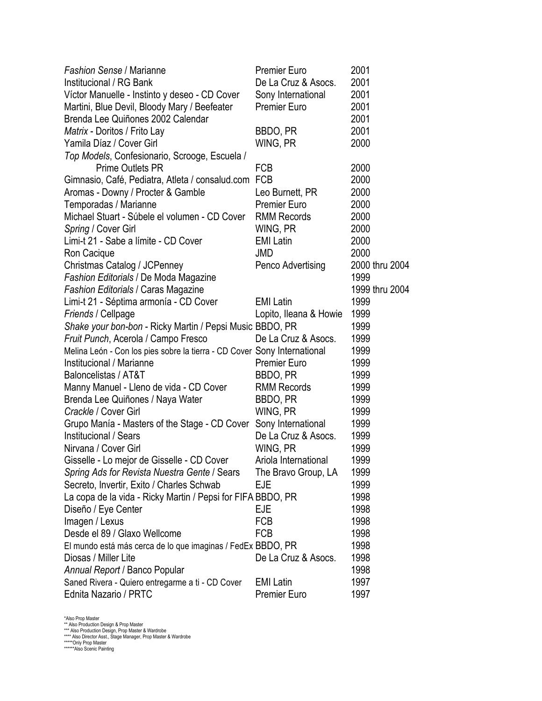| <b>Fashion Sense / Marianne</b>                                          | <b>Premier Euro</b>    | 2001           |
|--------------------------------------------------------------------------|------------------------|----------------|
| Institucional / RG Bank                                                  | De La Cruz & Asocs.    | 2001           |
| Víctor Manuelle - Instinto y deseo - CD Cover                            | Sony International     | 2001           |
| Martini, Blue Devil, Bloody Mary / Beefeater                             | <b>Premier Euro</b>    | 2001           |
| Brenda Lee Quiñones 2002 Calendar                                        |                        | 2001           |
| Matrix - Doritos / Frito Lay                                             | BBDO, PR               | 2001           |
| Yamila Díaz / Cover Girl                                                 | WING, PR               | 2000           |
| Top Models, Confesionario, Scrooge, Escuela /                            |                        |                |
| <b>Prime Outlets PR</b>                                                  | <b>FCB</b>             | 2000           |
| Gimnasio, Café, Pediatra, Atleta / consalud.com                          | <b>FCB</b>             | 2000           |
| Aromas - Downy / Procter & Gamble                                        | Leo Burnett, PR        | 2000           |
| Temporadas / Marianne                                                    | <b>Premier Euro</b>    | 2000           |
| Michael Stuart - Súbele el volumen - CD Cover                            | <b>RMM Records</b>     | 2000           |
| Spring / Cover Girl                                                      | WING, PR               | 2000           |
| Limi-t 21 - Sabe a límite - CD Cover                                     | <b>EMI Latin</b>       | 2000           |
| Ron Cacique                                                              | JMD                    | 2000           |
| Christmas Catalog / JCPenney                                             | Penco Advertising      | 2000 thru 2004 |
| <b>Fashion Editorials / De Moda Magazine</b>                             |                        | 1999           |
| <b>Fashion Editorials / Caras Magazine</b>                               |                        | 1999 thru 2004 |
| Limi-t 21 - Séptima armonía - CD Cover                                   | <b>EMI Latin</b>       | 1999           |
| Friends / Cellpage                                                       | Lopito, Ileana & Howie | 1999           |
| Shake your bon-bon - Ricky Martin / Pepsi Music BBDO, PR                 |                        | 1999           |
| Fruit Punch, Acerola / Campo Fresco                                      | De La Cruz & Asocs.    | 1999           |
| Melina León - Con los pies sobre la tierra - CD Cover Sony International |                        | 1999           |
| Institucional / Marianne                                                 | <b>Premier Euro</b>    | 1999           |
| Baloncelistas / AT&T                                                     | BBDO, PR               | 1999           |
| Manny Manuel - Lleno de vida - CD Cover                                  | <b>RMM Records</b>     | 1999           |
| Brenda Lee Quiñones / Naya Water                                         | BBDO, PR               | 1999           |
| Crackle / Cover Girl                                                     | WING, PR               | 1999           |
| Grupo Manía - Masters of the Stage - CD Cover                            | Sony International     | 1999           |
| Institucional / Sears                                                    | De La Cruz & Asocs.    | 1999           |
| Nirvana / Cover Girl                                                     | WING, PR               | 1999           |
| Gisselle - Lo mejor de Gisselle - CD Cover                               | Ariola International   | 1999           |
| Spring Ads for Revista Nuestra Gente / Sears                             | The Bravo Group, LA    | 1999           |
| Secreto, Invertir, Exito / Charles Schwab                                | EJE                    | 1999           |
| La copa de la vida - Ricky Martin / Pepsi for FIFA BBDO, PR              |                        | 1998           |
| Diseño / Eye Center                                                      | EJE                    | 1998           |
| Imagen / Lexus                                                           | <b>FCB</b>             | 1998           |
| Desde el 89 / Glaxo Wellcome                                             | <b>FCB</b>             | 1998           |
| El mundo está más cerca de lo que imaginas / FedEx BBDO, PR              |                        | 1998           |
| Diosas / Miller Lite                                                     | De La Cruz & Asocs.    | 1998           |
| Annual Report / Banco Popular                                            |                        | 1998           |
| Saned Rivera - Quiero entregarme a ti - CD Cover                         | <b>EMI Latin</b>       | 1997           |
| Ednita Nazario / PRTC                                                    | <b>Premier Euro</b>    | 1997           |
|                                                                          |                        |                |